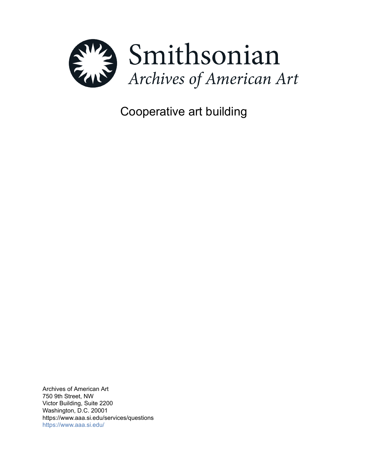

Cooperative art building

Archives of American Art 750 9th Street, NW Victor Building, Suite 2200 Washington, D.C. 20001 https://www.aaa.si.edu/services/questions <https://www.aaa.si.edu/>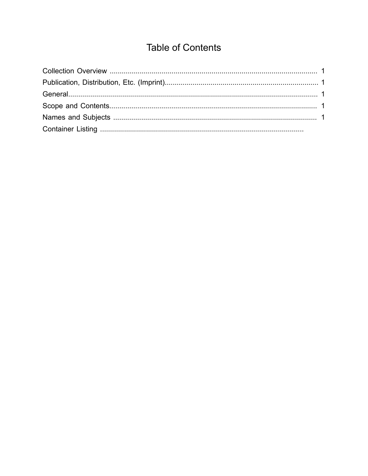# **Table of Contents**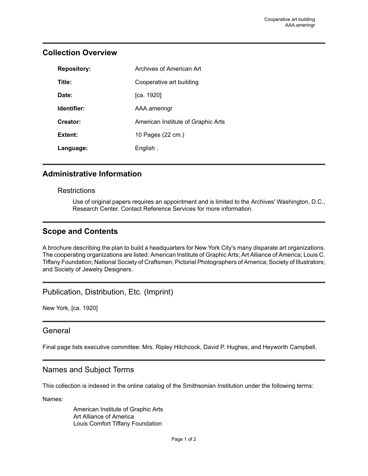# <span id="page-2-0"></span>**Collection Overview**

| <b>Repository:</b> | Archives of American Art           |
|--------------------|------------------------------------|
| Title:             | Cooperative art building           |
| Date:              | [ca. 1920]                         |
| Identifier:        | AAA.ameringr                       |
| Creator:           | American Institute of Graphic Arts |
| Extent:            | 10 Pages (22 cm.)                  |
| Language:          | English.                           |

#### **Administrative Information**

#### **Restrictions**

Use of original papers requires an appointment and is limited to the Archives' Washington, D.C., Research Center. Contact Reference Services for more information.

## <span id="page-2-3"></span>**Scope and Contents**

A brochure describing the plan to build a headquarters for New York City's many disparate art organizations. The cooperating organizations are listed: American Institute of Graphic Arts; Art Alliance of America; Louis C. Tiffany Foundation; National Society of Craftsmen; Pictorial Photographers of America; Society of Illustrators; and Society of Jewelry Designers.

## <span id="page-2-1"></span>Publication, Distribution, Etc. (Imprint)

New York, [ca. 1920]

#### <span id="page-2-2"></span>**General**

Final page lists executive committee: Mrs. Ripley Hitchcock, David P. Hughes, and Heyworth Campbell.

## <span id="page-2-4"></span>Names and Subject Terms

This collection is indexed in the online catalog of the Smithsonian Institution under the following terms:

Names:

American Institute of Graphic Arts Art Alliance of America Louis Comfort Tiffany Foundation